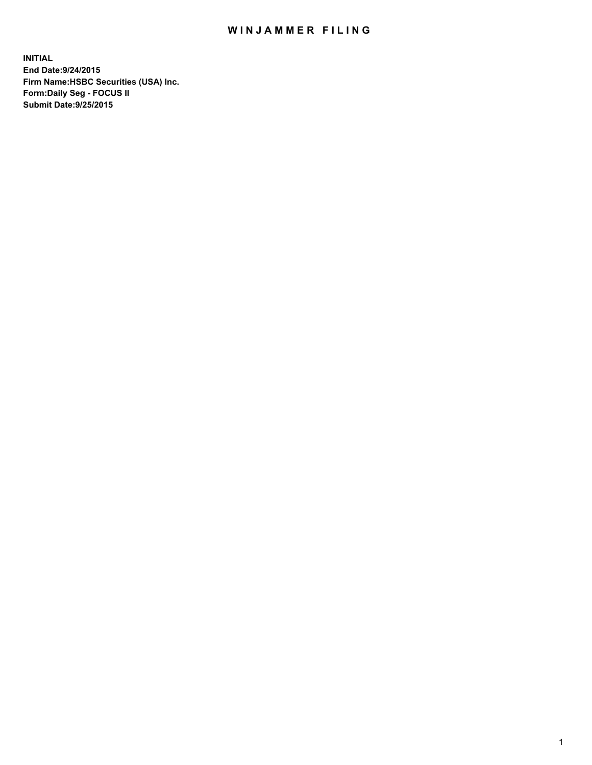## WIN JAMMER FILING

**INITIAL End Date:9/24/2015 Firm Name:HSBC Securities (USA) Inc. Form:Daily Seg - FOCUS II Submit Date:9/25/2015**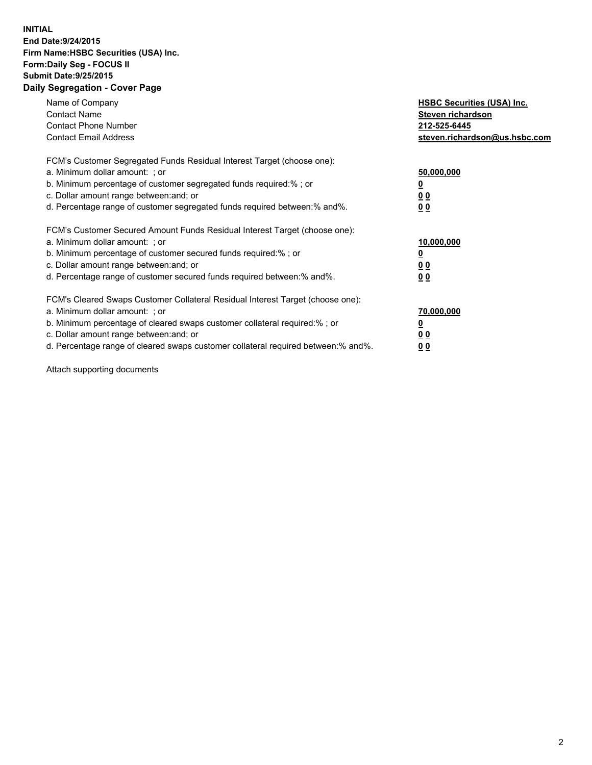## **INITIAL End Date:9/24/2015 Firm Name:HSBC Securities (USA) Inc. Form:Daily Seg - FOCUS II Submit Date:9/25/2015 Daily Segregation - Cover Page**

| Name of Company<br><b>Contact Name</b><br><b>Contact Phone Number</b><br><b>Contact Email Address</b>                                                                                                                                                                                                                          | <b>HSBC Securities (USA) Inc.</b><br>Steven richardson<br>212-525-6445<br>steven.richardson@us.hsbc.com |
|--------------------------------------------------------------------------------------------------------------------------------------------------------------------------------------------------------------------------------------------------------------------------------------------------------------------------------|---------------------------------------------------------------------------------------------------------|
| FCM's Customer Segregated Funds Residual Interest Target (choose one):<br>a. Minimum dollar amount: ; or<br>b. Minimum percentage of customer segregated funds required:%; or<br>c. Dollar amount range between: and; or<br>d. Percentage range of customer segregated funds required between: % and %.                        | 50,000,000<br>0 <sub>0</sub><br>0 <sub>0</sub>                                                          |
| FCM's Customer Secured Amount Funds Residual Interest Target (choose one):<br>a. Minimum dollar amount: ; or<br>b. Minimum percentage of customer secured funds required:%; or<br>c. Dollar amount range between: and; or<br>d. Percentage range of customer secured funds required between:% and%.                            | 10,000,000<br><u>0</u><br>0 <sub>0</sub><br>0 <sub>0</sub>                                              |
| FCM's Cleared Swaps Customer Collateral Residual Interest Target (choose one):<br>a. Minimum dollar amount: ; or<br>b. Minimum percentage of cleared swaps customer collateral required:% ; or<br>c. Dollar amount range between: and; or<br>d. Percentage range of cleared swaps customer collateral required between:% and%. | 70,000,000<br>00<br><u>00</u>                                                                           |

Attach supporting documents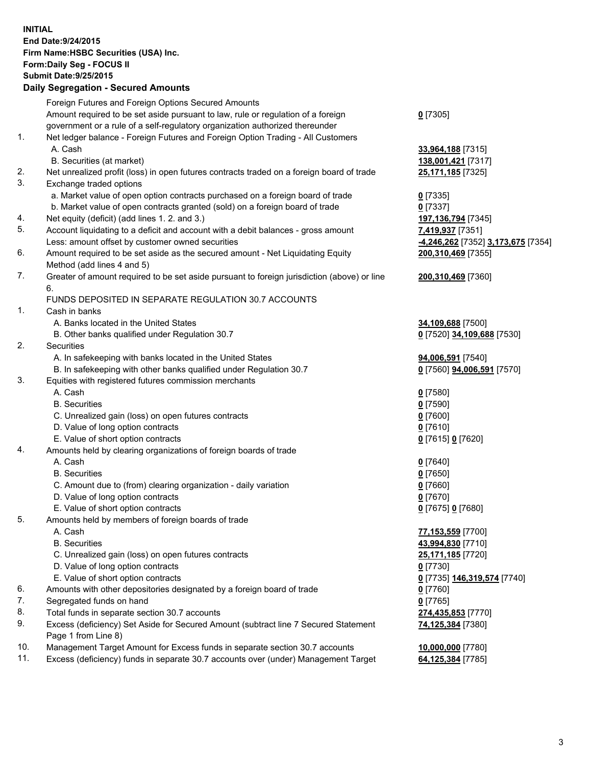**INITIAL End Date:9/24/2015 Firm Name:HSBC Securities (USA) Inc. Form:Daily Seg - FOCUS II Submit Date:9/25/2015 Daily Segregation - Secured Amounts**

Foreign Futures and Foreign Options Secured Amounts Amount required to be set aside pursuant to law, rule or regulation of a foreign government or a rule of a self-regulatory organization authorized thereunder **0** [7305] 1. Net ledger balance - Foreign Futures and Foreign Option Trading - All Customers A. Cash **33,964,188** [7315] B. Securities (at market) **138,001,421** [7317] 2. Net unrealized profit (loss) in open futures contracts traded on a foreign board of trade **25,171,185** [7325] 3. Exchange traded options a. Market value of open option contracts purchased on a foreign board of trade **0** [7335] b. Market value of open contracts granted (sold) on a foreign board of trade **0** [7337] 4. Net equity (deficit) (add lines 1. 2. and 3.) **197,136,794** [7345] 5. Account liquidating to a deficit and account with a debit balances - gross amount **7,419,937** [7351] Less: amount offset by customer owned securities **-4,246,262** [7352] **3,173,675** [7354] 6. Amount required to be set aside as the secured amount - Net Liquidating Equity Method (add lines 4 and 5) **200,310,469** [7355] 7. Greater of amount required to be set aside pursuant to foreign jurisdiction (above) or line 6. **200,310,469** [7360] FUNDS DEPOSITED IN SEPARATE REGULATION 30.7 ACCOUNTS 1. Cash in banks A. Banks located in the United States **34,109,688** [7500] B. Other banks qualified under Regulation 30.7 **0** [7520] **34,109,688** [7530] 2. Securities A. In safekeeping with banks located in the United States **94,006,591** [7540] B. In safekeeping with other banks qualified under Regulation 30.7 **0** [7560] **94,006,591** [7570] 3. Equities with registered futures commission merchants A. Cash **0** [7580] B. Securities **0** [7590] C. Unrealized gain (loss) on open futures contracts **0** [7600] D. Value of long option contracts **0** [7610] E. Value of short option contracts **0** [7615] **0** [7620] 4. Amounts held by clearing organizations of foreign boards of trade A. Cash **0** [7640] B. Securities **0** [7650] C. Amount due to (from) clearing organization - daily variation **0** [7660] D. Value of long option contracts **0** [7670] E. Value of short option contracts **0** [7675] **0** [7680] 5. Amounts held by members of foreign boards of trade A. Cash **77,153,559** [7700] B. Securities **43,994,830** [7710] C. Unrealized gain (loss) on open futures contracts **25,171,185** [7720] D. Value of long option contracts **0** [7730] E. Value of short option contracts **0** [7735] **146,319,574** [7740] 6. Amounts with other depositories designated by a foreign board of trade **0** [7760] 7. Segregated funds on hand **0** [7765] 8. Total funds in separate section 30.7 accounts **274,435,853** [7770] 9. Excess (deficiency) Set Aside for Secured Amount (subtract line 7 Secured Statement Page 1 from Line 8) **74,125,384** [7380] 10. Management Target Amount for Excess funds in separate section 30.7 accounts **10,000,000** [7780] 11. Excess (deficiency) funds in separate 30.7 accounts over (under) Management Target **64,125,384** [7785]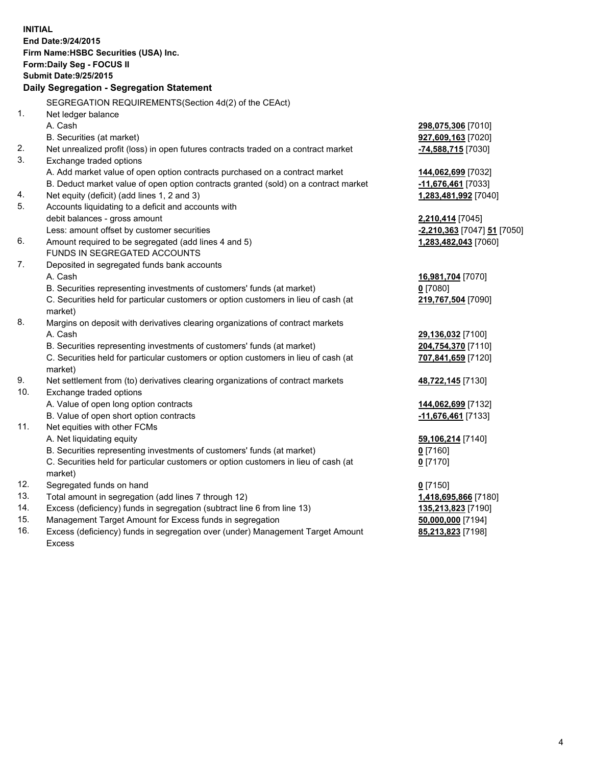| <b>INITIAL</b>                            | End Date: 9/24/2015<br>Firm Name: HSBC Securities (USA) Inc.<br>Form: Daily Seg - FOCUS II     |                             |  |  |  |  |
|-------------------------------------------|------------------------------------------------------------------------------------------------|-----------------------------|--|--|--|--|
|                                           | <b>Submit Date: 9/25/2015</b>                                                                  |                             |  |  |  |  |
| Daily Segregation - Segregation Statement |                                                                                                |                             |  |  |  |  |
|                                           | SEGREGATION REQUIREMENTS(Section 4d(2) of the CEAct)                                           |                             |  |  |  |  |
| 1.                                        | Net ledger balance                                                                             |                             |  |  |  |  |
|                                           | A. Cash                                                                                        | 298,075,306 [7010]          |  |  |  |  |
|                                           | B. Securities (at market)                                                                      | 927,609,163 [7020]          |  |  |  |  |
| 2.                                        | Net unrealized profit (loss) in open futures contracts traded on a contract market             | -74,588,715 [7030]          |  |  |  |  |
| 3.                                        | Exchange traded options                                                                        |                             |  |  |  |  |
|                                           | A. Add market value of open option contracts purchased on a contract market                    | 144,062,699 [7032]          |  |  |  |  |
|                                           | B. Deduct market value of open option contracts granted (sold) on a contract market            | 11,676,461 [7033]           |  |  |  |  |
| 4.                                        | Net equity (deficit) (add lines 1, 2 and 3)                                                    | 1,283,481,992 [7040]        |  |  |  |  |
| 5.                                        | Accounts liquidating to a deficit and accounts with                                            |                             |  |  |  |  |
|                                           | debit balances - gross amount                                                                  | 2,210,414 [7045]            |  |  |  |  |
|                                           | Less: amount offset by customer securities                                                     | -2,210,363 [7047] 51 [7050] |  |  |  |  |
| 6.                                        | Amount required to be segregated (add lines 4 and 5)                                           | 1,283,482,043 [7060]        |  |  |  |  |
|                                           | FUNDS IN SEGREGATED ACCOUNTS                                                                   |                             |  |  |  |  |
| 7.                                        | Deposited in segregated funds bank accounts                                                    |                             |  |  |  |  |
|                                           | A. Cash                                                                                        | 16,981,704 [7070]           |  |  |  |  |
|                                           | B. Securities representing investments of customers' funds (at market)                         | $0$ [7080]                  |  |  |  |  |
|                                           | C. Securities held for particular customers or option customers in lieu of cash (at            | 219,767,504 [7090]          |  |  |  |  |
|                                           | market)                                                                                        |                             |  |  |  |  |
| 8.                                        | Margins on deposit with derivatives clearing organizations of contract markets                 |                             |  |  |  |  |
|                                           | A. Cash                                                                                        | 29,136,032 [7100]           |  |  |  |  |
|                                           | B. Securities representing investments of customers' funds (at market)                         | 204,754,370 [7110]          |  |  |  |  |
|                                           | C. Securities held for particular customers or option customers in lieu of cash (at<br>market) | 707,841,659 [7120]          |  |  |  |  |
| 9.                                        | Net settlement from (to) derivatives clearing organizations of contract markets                | 48,722,145 [7130]           |  |  |  |  |
| 10.                                       | Exchange traded options                                                                        |                             |  |  |  |  |
|                                           | A. Value of open long option contracts                                                         | 144,062,699 [7132]          |  |  |  |  |
|                                           | B. Value of open short option contracts                                                        | -11,676,461 [7133]          |  |  |  |  |
| 11.                                       | Net equities with other FCMs                                                                   |                             |  |  |  |  |
|                                           | A. Net liquidating equity                                                                      | 59,106,214 [7140]           |  |  |  |  |
|                                           | B. Securities representing investments of customers' funds (at market)                         | $0$ [7160]                  |  |  |  |  |
|                                           | C. Securities held for particular customers or option customers in lieu of cash (at<br>market) | $0$ [7170]                  |  |  |  |  |
| 12.                                       | Segregated funds on hand                                                                       | $0$ [7150]                  |  |  |  |  |
| 13.                                       | Total amount in segregation (add lines 7 through 12)                                           | 1,418,695,866 [7180]        |  |  |  |  |
| 14.                                       | Excess (deficiency) funds in segregation (subtract line 6 from line 13)                        | 135,213,823 [7190]          |  |  |  |  |
| 15.                                       | Management Target Amount for Excess funds in segregation                                       | 50,000,000 [7194]           |  |  |  |  |
| 16.                                       | Excess (deficiency) funds in segregation over (under) Management Target Amount                 | 85,213,823 [7198]           |  |  |  |  |

16. Excess (deficiency) funds in segregation over (under) Management Target Amount Excess